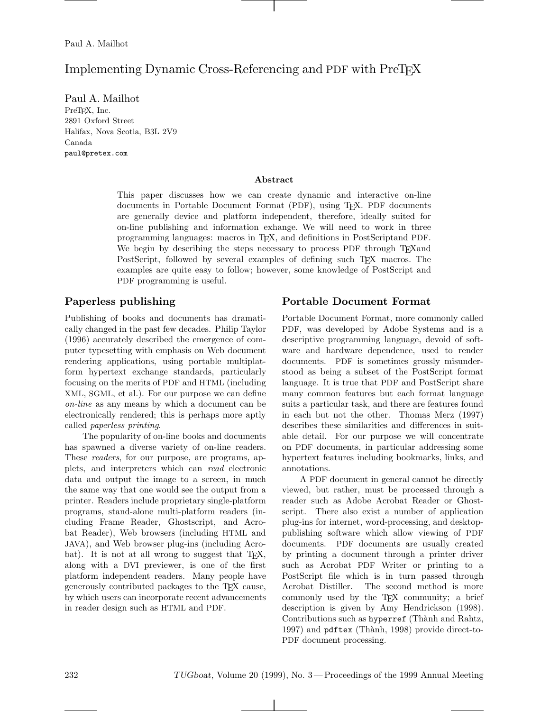# Implementing Dynamic Cross-Referencing and PDF with PreT<sub>EX</sub>

Paul A. Mailhot PreT<sub>EX</sub>, Inc. 2891 Oxford Street Halifax, Nova Scotia, B3L 2V9 Canada paul@pretex.com

#### **Abstract**

This paper discusses how we can create dynamic and interactive on-line documents in Portable Document Format (PDF), using TEX. PDF documents are generally device and platform independent, therefore, ideally suited for on-line publishing and information exhange. We will need to work in three programming languages: macros in TEX, and definitions in PostScriptand PDF. We begin by describing the steps necessary to process PDF through T<sub>EX</sub> and PostScript, followed by several examples of defining such T<sub>EX</sub> macros. The examples are quite easy to follow; however, some knowledge of PostScript and PDF programming is useful.

# **Paperless publishing**

Publishing of books and documents has dramatically changed in the past few decades. Philip Taylor (1996) accurately described the emergence of computer typesetting with emphasis on Web document rendering applications, using portable multiplatform hypertext exchange standards, particularly focusing on the merits of PDF and HTML (including XML, SGML, et al.). For our purpose we can define *on-line* as any means by which a document can be electronically rendered; this is perhaps more aptly called *paperless printing*.

The popularity of on-line books and documents has spawned a diverse variety of on-line readers. These *readers*, for our purpose, are programs, applets, and interpreters which can *read* electronic data and output the image to a screen, in much the same way that one would see the output from a printer. Readers include proprietary single-platform programs, stand-alone multi-platform readers (including Frame Reader, Ghostscript, and Acrobat Reader), Web browsers (including HTML and JAVA), and Web browser plug-ins (including Acrobat). It is not at all wrong to suggest that T<sub>E</sub>X, along with a DVI previewer, is one of the first platform independent readers. Many people have generously contributed packages to the TEX cause, by which users can incorporate recent advancements in reader design such as HTML and PDF.

# **Portable Document Format**

Portable Document Format, more commonly called PDF, was developed by Adobe Systems and is a descriptive programming language, devoid of software and hardware dependence, used to render documents. PDF is sometimes grossly misunderstood as being a subset of the PostScript format language. It is true that PDF and PostScript share many common features but each format language suits a particular task, and there are features found in each but not the other. Thomas Merz (1997) describes these similarities and differences in suitable detail. For our purpose we will concentrate on PDF documents, in particular addressing some hypertext features including bookmarks, links, and annotations.

A PDF document in general cannot be directly viewed, but rather, must be processed through a reader such as Adobe Acrobat Reader or Ghostscript. There also exist a number of application plug-ins for internet, word-processing, and desktoppublishing software which allow viewing of PDF documents. PDF documents are usually created by printing a document through a printer driver such as Acrobat PDF Writer or printing to a PostScript file which is in turn passed through Acrobat Distiller. The second method is more commonly used by the TEX community; a brief description is given by Amy Hendrickson (1998). Contributions such as hyperref (Thành and Rahtz, 1997) and pdftex (Thành, 1998) provide direct-to-PDF document processing.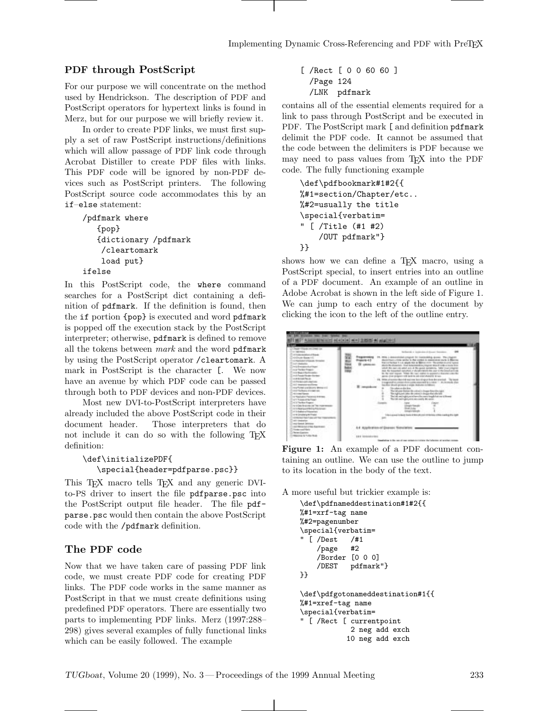#### **PDF through PostScript**

For our purpose we will concentrate on the method used by Hendrickson. The description of PDF and PostScript operators for hypertext links is found in Merz, but for our purpose we will briefly review it.

In order to create PDF links, we must first supply a set of raw PostScript instructions/definitions which will allow passage of PDF link code through Acrobat Distiller to create PDF files with links. This PDF code will be ignored by non-PDF devices such as PostScript printers. The following PostScript source code accommodates this by an if–else statement:

```
/pdfmark where
   {pop}
   {dictionary /pdfmark
    /cleartomark
    load put}
ifelse
```
In this PostScript code, the where command searches for a PostScript dict containing a definition of pdfmark. If the definition is found, then the if portion {pop} is executed and word pdfmark is popped off the execution stack by the PostScript interpreter; otherwise, pdfmark is defined to remove all the tokens between *mark* and the word pdfmark by using the PostScript operator /cleartomark. A mark in PostScript is the character [. We now have an avenue by which PDF code can be passed through both to PDF devices and non-PDF devices.

Most new DVI-to-PostScript interpreters have already included the above PostScript code in their document header. Those interpreters that do not include it can do so with the following TEX definition:

```
\def\initializePDF{
  \special{header=pdfparse.psc}}
```
This T<sub>EX</sub> macro tells T<sub>EX</sub> and any generic DVIto-PS driver to insert the file pdfparse.psc into the PostScript output file header. The file pdfparse.psc would then contain the above PostScript code with the /pdfmark definition.

#### **The PDF code**

Now that we have taken care of passing PDF link code, we must create PDF code for creating PDF links. The PDF code works in the same manner as PostScript in that we must create definitions using predefined PDF operators. There are essentially two parts to implementing PDF links. Merz (1997:288– 298) gives several examples of fully functional links which can be easily followed. The example

[ /Rect [ 0 0 60 60 ] /Page 124 /LNK pdfmark

contains all of the essential elements required for a link to pass through PostScript and be executed in PDF. The PostScript mark [ and definition pdfmark delimit the PDF code. It cannot be assumed that the code between the delimiters is PDF because we may need to pass values from TEX into the PDF code. The fully functioning example

```
\def\pdfbookmark#1#2{{
%#1=section/Chapter/etc..
%#2=usually the title
\special{verbatim=
" [ /Title (#1 #2)
    /OUT pdfmark"}
}}
```
shows how we can define a T<sub>EX</sub> macro, using a PostScript special, to insert entries into an outline of a PDF document. An example of an outline in Adobe Acrobat is shown in the left side of Figure 1. We can jump to each entry of the document by clicking the icon to the left of the outline entry.



**Figure 1:** An example of a PDF document containing an outline. We can use the outline to jump to its location in the body of the text.

A more useful but trickier example is:

```
\def\pdfnameddestination#1#2{{
%#1=xrf-tag name
%#2=pagenumber
\special{verbatim=
 [ /Dest /#1
    /page #2
    /Border [0 0 0]
    /DEST pdfmark"}
}}
\def\pdfgotonameddestination#1{{
%#1=xref-tag name
\special{verbatim=
 [ /Rect [ currentpoint
            2 neg add exch
           10 neg add exch
```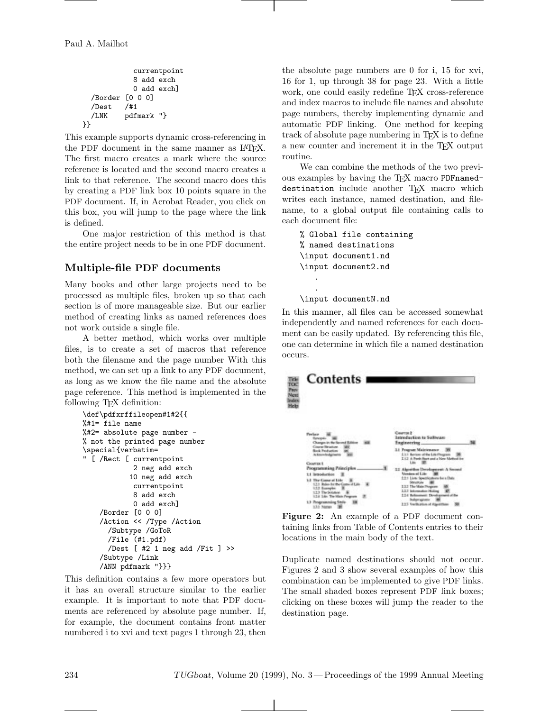```
currentpoint
            8 add exch
            0 add exch]
  /Border [0 0 0]
  /Dest /#1
  /LNK pdfmark "}
}}
```
This example supports dynamic cross-referencing in the PDF document in the same manner as IATFX. The first macro creates a mark where the source reference is located and the second macro creates a link to that reference. The second macro does this by creating a PDF link box 10 points square in the PDF document. If, in Acrobat Reader, you click on this box, you will jump to the page where the link is defined.

One major restriction of this method is that the entire project needs to be in one PDF document.

# **Multiple-file PDF documents**

Many books and other large projects need to be processed as multiple files, broken up so that each section is of more manageable size. But our earlier method of creating links as named references does not work outside a single file.

A better method, which works over multiple files, is to create a set of macros that reference both the filename and the page number With this method, we can set up a link to any PDF document, as long as we know the file name and the absolute page reference. This method is implemented in the following T<sub>EX</sub> definition:

```
\def\pdfxrffileopen#1#2{{
%#1= file name
%#2= absolute page number -
% not the printed page number
\special{verbatim=
" [ /Rect [ currentpoint
            2 neg add exch
           10 neg add exch
            currentpoint
            8 add exch
            0 add exch]
    /Border [0 0 0]
    /Action << /Type /Action
      /Subtype /GoToR
      /File (#1.pdf)
      /Dest [ #2 1 neg add /Fit ] >>
    /Subtype /Link
    /ANN pdfmark "}}}
```
This definition contains a few more operators but it has an overall structure similar to the earlier example. It is important to note that PDF documents are referenced by absolute page number. If, for example, the document contains front matter numbered i to xvi and text pages 1 through 23, then the absolute page numbers are 0 for i, 15 for xvi, 16 for 1, up through 38 for page 23. With a little work, one could easily redefine T<sub>EX</sub> cross-reference and index macros to include file names and absolute page numbers, thereby implementing dynamic and automatic PDF linking. One method for keeping track of absolute page numbering in T<sub>E</sub>X is to define a new counter and increment it in the TEX output routine.

We can combine the methods of the two previous examples by having the TFX macro PDFnameddestination include another TFX macro which writes each instance, named destination, and filename, to a global output file containing calls to each document file:

```
% Global file containing
% named destinations
\input document1.nd
\input document2.nd
   .
   .
```
\input documentN.nd

In this manner, all files can be accessed somewhat independently and named references for each document can be easily updated. By referencing this file, one can determine in which file a named destination occurs.



**Figure 2:** An example of a PDF document containing links from Table of Contents entries to their locations in the main body of the text.

Duplicate named destinations should not occur. Figures 2 and 3 show several examples of how this combination can be implemented to give PDF links. The small shaded boxes represent PDF link boxes; clicking on these boxes will jump the reader to the destination page.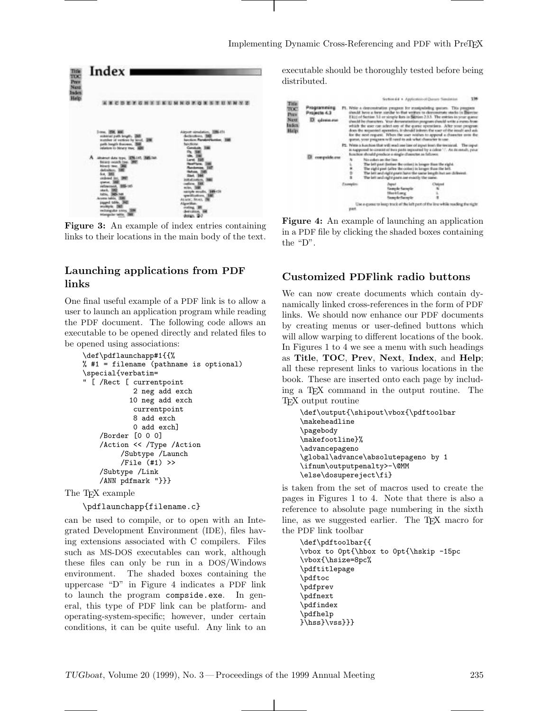

**Figure 3:** An example of index entries containing links to their locations in the main body of the text.

### **Launching applications from PDF links**

One final useful example of a PDF link is to allow a user to launch an application program while reading the PDF document. The following code allows an executable to be opened directly and related files to be opened using associations:

```
\def\pdflaunchapp#1{{%
% #1 = filename (pathname is optional)
\special{verbatim=
" [ /Rect [ currentpoint
            2 neg add exch
           10 neg add exch
            currentpoint
            8 add exch
            0 add exch]
    /Border [0 0 0]
    /Action << /Type /Action
         /Subtype /Launch
         /File (#1) >>
    /Subtype /Link
    /ANN pdfmark "}}}
```
The T<sub>F</sub>X example

```
\pdflaunchapp{filename.c}
```
can be used to compile, or to open with an Integrated Development Environment (IDE), files having extensions associated with C compilers. Files such as MS-DOS executables can work, although these files can only be run in a DOS/Windows environment. The shaded boxes containing the uppercase "D" in Figure 4 indicates a PDF link to launch the program compside.exe. In general, this type of PDF link can be platform- and operating-system-specific; however, under certain conditions, it can be quite useful. Any link to an executable should be thoroughly tested before being distributed.



**Figure 4:** An example of launching an application in a PDF file by clicking the shaded boxes containing the "D".

#### **Customized PDFlink radio buttons**

We can now create documents which contain dynamically linked cross-references in the form of PDF links. We should now enhance our PDF documents by creating menus or user-defined buttons which will allow warping to different locations of the book. In Figures 1 to 4 we see a menu with such headings as **Title**, **TOC**, **Prev**, **Next**, **Index**, and **Help**; all these represent links to various locations in the book. These are inserted onto each page by including a TEX command in the output routine. The TEX output routine

```
\def\output{\shipout\vbox{\pdftoolbar
\makeheadline
\pagebody
\makefootline}%
\advancepageno
\global\advance\absolutepageno by 1
\ifnum\outputpenalty>-\@MM
\else\dosupereject\fi}
```
is taken from the set of macros used to create the pages in Figures 1 to 4. Note that there is also a reference to absolute page numbering in the sixth line, as we suggested earlier. The T<sub>E</sub>X macro for the PDF link toolbar

```
\def\pdftoolbar{{
\vbox to 0pt{\hbox to 0pt{\hskip -15pc
\vbox{\hsize=8pc%
\pdftitlepage
\pdftoc
\pdfprev
\pdfnext
\pdfindex
\pdfhelp
}\hss}\vss}}}
```